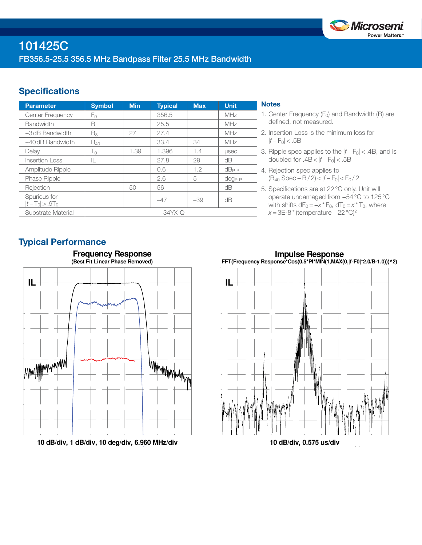

## **Specifications**

| <b>Parameter</b>                  | <b>Symbol</b> | <b>Min</b> | <b>Typical</b> | <b>Max</b> | <b>Unit</b>  |
|-----------------------------------|---------------|------------|----------------|------------|--------------|
| <b>Center Frequency</b>           | Fο            |            | 356.5          |            | MHz          |
| <b>Bandwidth</b>                  | B             |            | 25.5           |            | MHz          |
| $-3$ dB Bandwidth                 | $B_3$         | 27         | 27.4           |            | MHz          |
| $-40$ dB Bandwidth                | $B_{40}$      |            | 33.4           | 34         | MHz          |
| Delay                             | $T_0$         | 1.39       | 1.396          | 1.4        | <b>LISEC</b> |
| <b>Insertion Loss</b>             | IL.           |            | 27.8           | 29         | dB           |
| Amplitude Ripple                  |               |            | 0.6            | 1.2        | $dB_{P-P}$   |
| <b>Phase Ripple</b>               |               |            | 2.6            | 5          | $deg_{P-P}$  |
| Rejection                         |               | 50         | 56             |            | dB           |
| Spurious for<br>$ t-T_0  > .9T_0$ |               |            | $-47$          | $-39$      | dB           |
| Substrate Material                | $34YX - Q$    |            |                |            |              |

### **Notes**

- 1. Center Frequency  $(F_0)$  and Bandwidth (B) are defined, not measured.
- 2. Insertion Loss is the minimum loss for  $|f - F_0|$  < .5B
- 3. Ripple spec applies to the  $|f F_0|$  < .4B, and is doubled for  $.4B < |f - F_0| < .5B$
- 4. Rejection spec applies to (B40 Spec − B / 2) < |*f* − F0| < F0 / 2
- 5. Specifications are at 22°C only. Unit will operate undamaged from −54°C to 125°C with shifts  $dF_0 = -x * F_0$ ,  $dT_0 = x * T_0$ , where *x* = 3E-8 \* (temperature – 22 °C)<sup>2</sup>

## Typical Performance



**10 dB/div, 1 dB/div, 10 deg/div, 6.960 MHz/div**

**Impulse Response FFT(Frequency Response\*Cos(0.5\*PI\*MIN(1,MAX(0,|f-F0|\*2.0/B-1.0)))^2)**



**10 dB/div, 0.575 us/div**